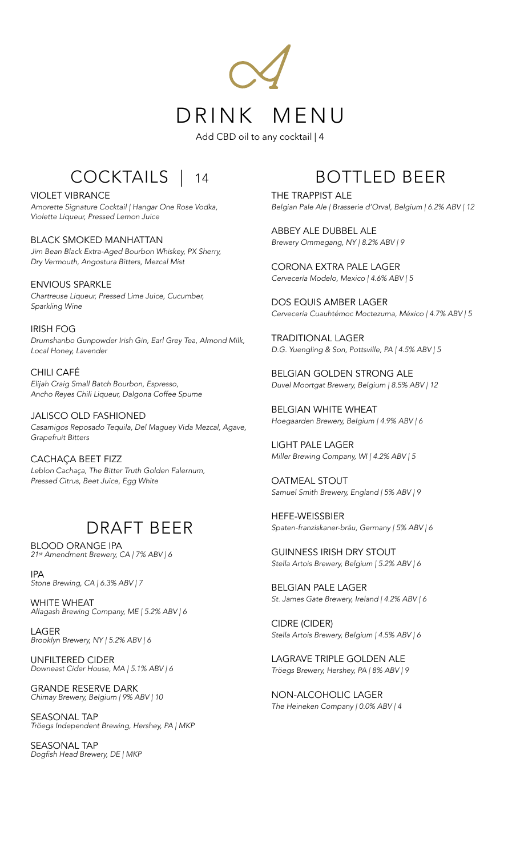

Add CBD oil to any cocktail | 4

## COCKTAILS | 14

VIOLET VIBRANCE *Amorette Signature Cocktail | Hangar One Rose Vodka, Violette Liqueur, Pressed Lemon Juice* 

BLACK SMOKED MANHATTAN *Jim Bean Black Extra-Aged Bourbon Whiskey, PX Sherry, Dry Vermouth, Angostura Bitters, Mezcal Mist* 

ENVIOUS SPARKLE *Chartreuse Liqueur, Pressed Lime Juice, Cucumber, Sparkling Wine* 

IRISH FOG *Drumshanbo Gunpowder Irish Gin, Earl Grey Tea, Almond Milk, Local Honey, Lavender* 

CHILI CAFÉ *Elijah Craig Small Batch Bourbon, Espresso, Ancho Reyes Chili Liqueur, Dalgona Coffee Spume* 

JALISCO OLD FASHIONED *Casamigos Reposado Tequila, Del Maguey Vida Mezcal, Agave, Grapefruit Bitters* 

CACHAÇA BEET FIZZ *Leblon Cachaça, The Bitter Truth Golden Falernum, Pressed Citrus, Beet Juice, Egg White* 

## DRAFT BEER

BLOOD ORANGE IPA *21st Amendment Brewery, CA | 7% ABV | 6*

IPA *Stone Brewing, CA | 6.3% ABV | 7*

WHITE WHEAT *Allagash Brewing Company, ME | 5.2% ABV | 6*

LAGER *Brooklyn Brewery, NY | 5.2% ABV | 6*

UNFILTERED CIDER *Downeast Cider House, MA | 5.1% ABV | 6*

GRANDE RESERVE DARK *Chimay Brewery, Belgium | 9% ABV | 10*

SEASONAL TAP *Tröegs Independent Brewing, Hershey, PA | MKP*

SEASONAL TAP *Dogfish Head Brewery, DE | MKP*

## BOTTLED BEER

THE TRAPPIST ALE *Belgian Pale Ale | Brasserie d'Orval, Belgium | 6.2% ABV | 12*

ABBEY ALE DUBBEL ALE *Brewery Ommegang, NY | 8.2% ABV | 9*

CORONA EXTRA PALE LAGER *Cervecería Modelo, Mexico | 4.6% ABV | 5*

DOS EQUIS AMBER LAGER *Cervecería Cuauhtémoc Moctezuma, México | 4.7% ABV | 5*

TRADITIONAL LAGER *D.G. Yuengling & Son, Pottsville, PA | 4.5% ABV | 5*

BELGIAN GOLDEN STRONG ALE *Duvel Moortgat Brewery, Belgium | 8.5% ABV | 12*

BELGIAN WHITE WHEAT *Hoegaarden Brewery, Belgium | 4.9% ABV | 6*

LIGHT PALE LAGER *Miller Brewing Company, WI | 4.2% ABV | 5*

OATMEAL STOUT *Samuel Smith Brewery, England | 5% ABV | 9*

HEFE-WEISSBIER *Spaten-franziskaner-bräu, Germany | 5% ABV | 6*

GUINNESS IRISH DRY STOUT *Stella Artois Brewery, Belgium | 5.2% ABV | 6*

BELGIAN PALE LAGER *St. James Gate Brewery, Ireland | 4.2% ABV | 6*

CIDRE (CIDER) *Stella Artois Brewery, Belgium | 4.5% ABV | 6*

LAGRAVE TRIPLE GOLDEN ALE *Tröegs Brewery, Hershey, PA | 8% ABV | 9*

NON-ALCOHOLIC LAGER *The Heineken Company | 0.0% ABV | 4*